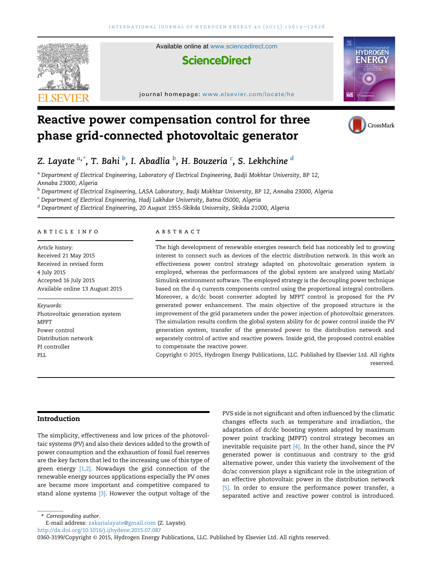

# Reactive power compensation control for three phase grid-connected photovoltaic generator



### Z. Layate <sup>a,</sup>\*, T. Bahi <sup>b</sup>, I. Abadlia <sup>b</sup>, H. Bouzeria <sup>c</sup>, S. Lekhchine <sup>d</sup>

a Department of Electrical Engineering, Laboratory of Electrical Engineering, Badji Mokhtar University, BP 12, Annaba 23000, Algeria

<sup>b</sup> Department of Electrical Engineering, LASA Laboratory, Badji Mokhtar University, BP 12, Annaba 23000, Algeria

<sup>c</sup> Department of Electrical Engineering, Hadj Lakhdar University, Batna 05000, Algeria

<sup>d</sup> Department of Electrical Engineering, 20 August 1955-Skikda University, Skikda 21000, Algeria

#### article info

Article history: Received 21 May 2015 Received in revised form 4 July 2015 Accepted 16 July 2015 Available online 13 August 2015

Keywords: Photovoltaic generation system MPPT Power control Distribution network PI controller PLL

#### **ABSTRACT**

The high development of renewable energies research field has noticeably led to growing interest to connect such as devices of the electric distribution network. In this work an effectiveness power control strategy adapted on photovoltaic generation system is employed, whereas the performances of the global system are analyzed using MatLab/ Simulink environment software. The employed strategy is the decoupling power technique based on the d-q currents components control using the proportional integral controllers. Moreover, a dc/dc boost converter adopted by MPPT control is proposed for the PV generated power enhancement. The main objective of the proposed structure is the improvement of the grid parameters under the power injection of photovoltaic generators. The simulation results confirm the global system ability for dc power control inside the PV generation system, transfer of the generated power to the distribution network and separately control of active and reactive powers. Inside grid, the proposed control enables to compensate the reactive power.

Copyright © 2015, Hydrogen Energy Publications, LLC. Published by Elsevier Ltd. All rights reserved.

#### Introduction

The simplicity, effectiveness and low prices of the photovoltaic systems (PV) and also their devices added to the growth of power consumption and the exhaustion of fossil fuel reserves are the key factors that led to the increasing use of this type of green energy [1,2]. Nowadays the grid connection of the renewable energy sources applications especially the PV ones are became more important and competitive compared to stand alone systems [3]. However the output voltage of the

PVS side is not significant and often influenced by the climatic changes effects such as temperature and irradiation, the adaptation of dc/dc boosting system adopted by maximum power point tracking (MPPT) control strategy becomes an inevitable requisite part  $[4]$ . In the other hand, since the PV generated power is continuous and contrary to the grid alternative power, under this variety the involvement of the dc/ac conversion plays a significant role in the integration of an effective photovoltaic power in the distribution network [5]. In order to ensure the performance power transfer, a separated active and reactive power control is introduced.

\* Corresponding author.

E-mail address: [zakarialayate@gmail.com](mailto:zakarialayate@gmail.com) (Z. Layate).

<http://dx.doi.org/10.1016/j.ijhydene.2015.07.087>

0360-3199/Copyright © 2015, Hydrogen Energy Publications, LLC. Published by Elsevier Ltd. All rights reserved.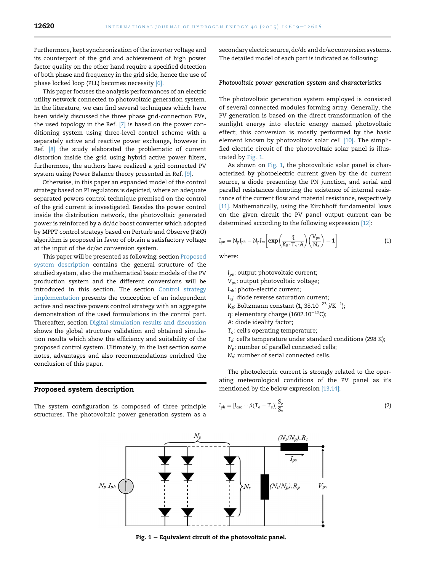Furthermore, kept synchronization of the inverter voltage and its counterpart of the grid and achievement of high power factor quality on the other hand require a specified detection of both phase and frequency in the grid side, hence the use of phase locked loop (PLL) becomes necessity [6].

This paper focuses the analysis performances of an electric utility network connected to photovoltaic generation system. In the literature, we can find several techniques which have been widely discussed the three phase grid-connection PVs, the used topology in the Ref. [7] is based on the power conditioning system using three-level control scheme with a separately active and reactive power exchange, however in Ref. [8] the study elaborated the problematic of current distortion inside the grid using hybrid active power filters, furthermore, the authors have realized a grid connected PV system using Power Balance theory presented in Ref. [9].

Otherwise, in this paper an expanded model of the control strategy based on PI regulators is depicted, where an adequate separated powers control technique premised on the control of the grid current is investigated. Besides the power control inside the distribution network, the photovoltaic generated power is reinforced by a dc/dc boost converter which adopted by MPPT control strategy based on Perturb and Observe (P&O) algorithm is proposed in favor of obtain a satisfactory voltage at the input of the dc/ac conversion system.

This paper will be presented as following: section Proposed system description contains the general structure of the studied system, also the mathematical basic models of the PV production system and the different conversions will be introduced in this section. The section Control strategy implementation presents the conception of an independent active and reactive powers control strategy with an aggregate demonstration of the used formulations in the control part. Thereafter, section Digital simulation results and discussion shows the global structure validation and obtained simulation results which show the efficiency and suitability of the proposed control system. Ultimately, in the last section some notes, advantages and also recommendations enriched the conclusion of this paper.

#### Proposed system description

The system configuration is composed of three principle structures. The photovoltaic power generation system as a

secondary electric source, dc/dc and dc/ac conversion systems. The detailed model of each part is indicated as following:

#### Photovoltaic power generation system and characteristics

The photovoltaic generation system employed is consisted of several connected modules forming array. Generally, the PV generation is based on the direct transformation of the sunlight energy into electric energy named photovoltaic effect; this conversion is mostly performed by the basic element known by photovoltaic solar cell [10]. The simplified electric circuit of the photovoltaic solar panel is illustrated by Fig. 1.

As shown on Fig. 1, the photovoltaic solar panel is characterized by photoelectric current given by the dc current source, a diode presenting the PN junction, and serial and parallel resistances denoting the existence of internal resistance of the current flow and material resistance, respectively [11]. Mathematically, using the Kirchhoff fundamental lows on the given circuit the PV panel output current can be determined according to the following expression [12]:

$$
I_{pv} = N_p I_{ph} - N_p I_{rs} \left[ exp \left( \frac{q}{K_B \cdot T_o \cdot A} \right) \left( \frac{V_{pv}}{N_s} \right) - 1 \right]
$$
 (1)

where:

- $I_{pv}$ : output photovoltaic current;  $V_{pv}$ : output photovoltaic voltage;  $I_{nh}$ : photo-electric current; Irs: diode reverse saturation current;  $\rm K_B$ : Boltzmann constant (1, 38.10 $^{-23}$  j/K $^{-1}$ ); q: elementary charge (1602.10-19C); A: diode ideality factor;  $T_o$ : cell's operating temperature;  $T_s$ : cell's temperature under standard conditions (298 K);  $N_p$ : number of parallel connected cells;
- $N_s$ : number of serial connected cells.

The photoelectric current is strongly related to the operating meteorological conditions of the PV panel as it's mentioned by the below expression [13,14]:

$$
I_{ph} = [I_{\text{csc}} + \beta (T_o - T_s)] \frac{S_o}{S_s}
$$
 (2)



Fig.  $1 -$  Equivalent circuit of the photovoltaic panel.